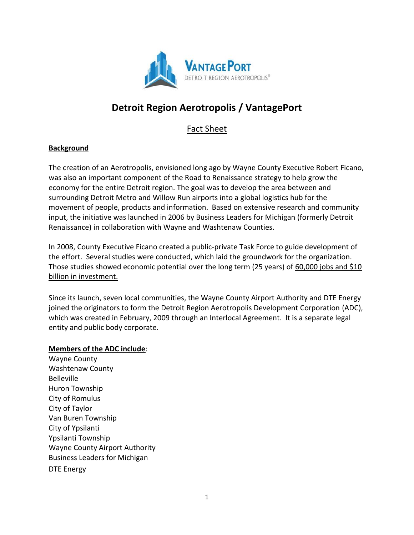

# **Detroit Region Aerotropolis / VantagePort**

Fact Sheet

#### **Background**

The creation of an Aerotropolis, envisioned long ago by Wayne County Executive Robert Ficano, was also an important component of the Road to Renaissance strategy to help grow the economy for the entire Detroit region. The goal was to develop the area between and surrounding Detroit Metro and Willow Run airports into a global logistics hub for the movement of people, products and information. Based on extensive research and community input, the initiative was launched in 2006 by Business Leaders for Michigan (formerly Detroit Renaissance) in collaboration with Wayne and Washtenaw Counties.

In 2008, County Executive Ficano created a public-private Task Force to guide development of the effort. Several studies were conducted, which laid the groundwork for the organization. Those studies showed economic potential over the long term (25 years) of 60,000 jobs and \$10 billion in investment.

Since its launch, seven local communities, the Wayne County Airport Authority and DTE Energy joined the originators to form the Detroit Region Aerotropolis Development Corporation (ADC), which was created in February, 2009 through an Interlocal Agreement. It is a separate legal entity and public body corporate.

#### **Members of the ADC include**:

Wayne County Washtenaw County Belleville Huron Township City of Romulus City of Taylor Van Buren Township City of Ypsilanti Ypsilanti Township Wayne County Airport Authority Business Leaders for Michigan DTE Energy